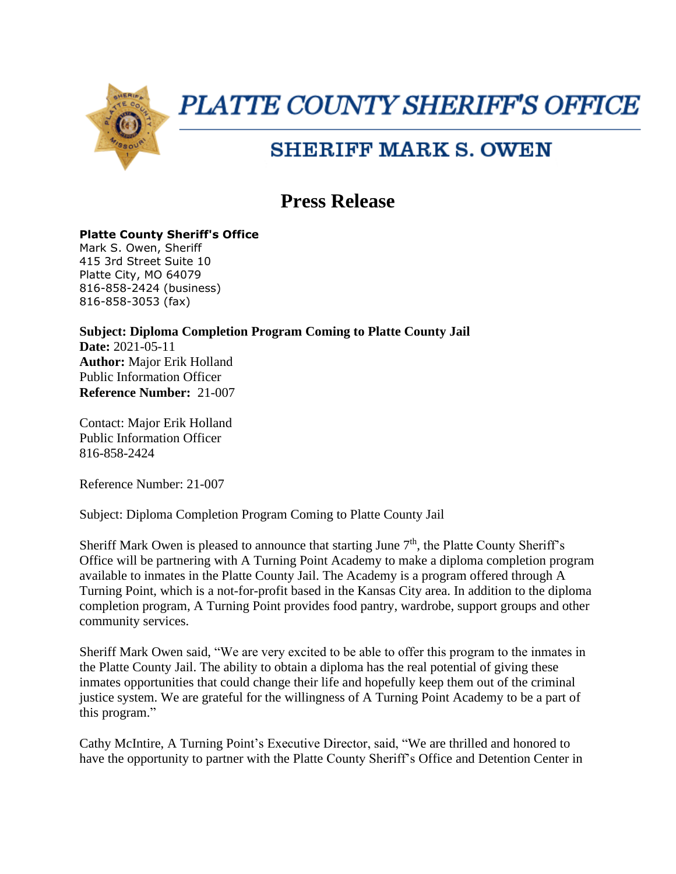

## **PLATTE COUNTY SHERIFF'S OFFICE**

## **SHERIFF MARK S. OWEN**

## **Press Release**

## **Platte County Sheriff's Office**

Mark S. Owen, Sheriff 415 3rd Street Suite 10 Platte City, MO 64079 816-858-2424 (business) 816-858-3053 (fax)

**Subject: Diploma Completion Program Coming to Platte County Jail Date:** 2021-05-11 **Author:** Major Erik Holland Public Information Officer **Reference Number:** 21-007

Contact: Major Erik Holland Public Information Officer 816-858-2424

Reference Number: 21-007

Subject: Diploma Completion Program Coming to Platte County Jail

Sheriff Mark Owen is pleased to announce that starting June  $7<sup>th</sup>$ , the Platte County Sheriff's Office will be partnering with A Turning Point Academy to make a diploma completion program available to inmates in the Platte County Jail. The Academy is a program offered through A Turning Point, which is a not-for-profit based in the Kansas City area. In addition to the diploma completion program, A Turning Point provides food pantry, wardrobe, support groups and other community services.

Sheriff Mark Owen said, "We are very excited to be able to offer this program to the inmates in the Platte County Jail. The ability to obtain a diploma has the real potential of giving these inmates opportunities that could change their life and hopefully keep them out of the criminal justice system. We are grateful for the willingness of A Turning Point Academy to be a part of this program."

Cathy McIntire, A Turning Point's Executive Director, said, "We are thrilled and honored to have the opportunity to partner with the Platte County Sheriff's Office and Detention Center in